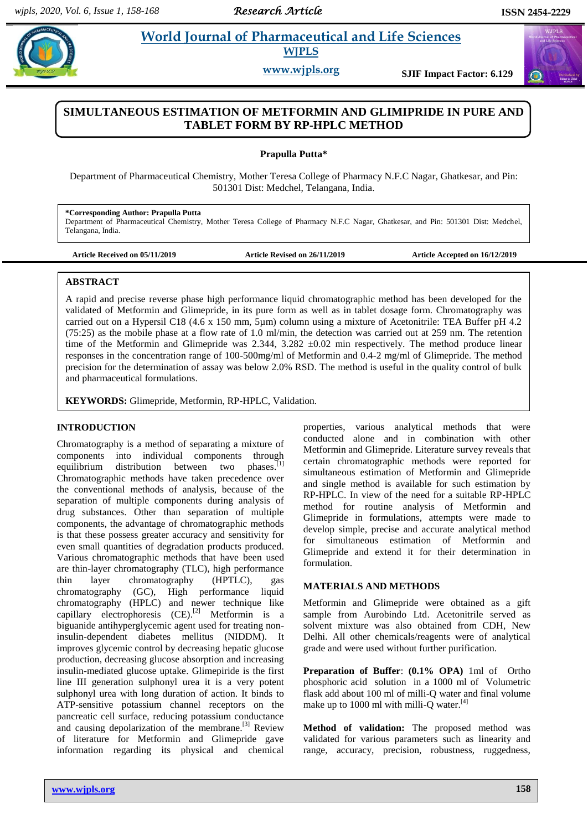# **Practical** *World Journal of Pharmaceutical and Life Sciences* **WJPLS**

**www.wjpls.org SJIF Impact Factor: 6.129**

## **SIMULTANEOUS ESTIMATION OF METFORMIN AND GLIMIPRIDE IN PURE AND TABLET FORM BY RP-HPLC METHOD**

**Prapulla Putta\***

Department of Pharmaceutical Chemistry, Mother Teresa College of Pharmacy N.F.C Nagar, Ghatkesar, and Pin: 501301 Dist: Medchel, Telangana, India.

**\*Corresponding Author: Prapulla Putta** Department of Pharmaceutical Chemistry, Mother Teresa College of Pharmacy N.F.C Nagar, Ghatkesar, and Pin: 501301 Dist: Medchel, Telangana, India.

**Article Received on 05/11/2019 Article Revised on 26/11/2019 Article Accepted on 16/12/2019**

#### **ABSTRACT**

A rapid and precise reverse phase high performance liquid chromatographic method has been developed for the validated of Metformin and Glimepride, in its pure form as well as in tablet dosage form. Chromatography was carried out on a Hypersil C18 (4.6 x 150 mm, 5µm) column using a mixture of Acetonitrile: TEA Buffer pH 4.2 (75:25) as the mobile phase at a flow rate of 1.0 ml/min, the detection was carried out at 259 nm. The retention time of the Metformin and Glimepride was  $2.344$ ,  $3.282 \pm 0.02$  min respectively. The method produce linear responses in the concentration range of 100-500mg/ml of Metformin and 0.4-2 mg/ml of Glimepride. The method precision for the determination of assay was below 2.0% RSD. The method is useful in the quality control of bulk and pharmaceutical formulations.

**KEYWORDS:** Glimepride, Metformin, RP-HPLC, Validation.

## **INTRODUCTION**

Chromatography is a method of separating a mixture of components into individual components through equilibrium distribution between two phases.<sup>[1]</sup> Chromatographic methods have taken precedence over the conventional methods of analysis, because of the separation of multiple components during analysis of drug substances. Other than separation of multiple components, the advantage of chromatographic methods is that these possess greater accuracy and sensitivity for even small quantities of degradation products produced. Various chromatographic methods that have been used are thin-layer chromatography (TLC), high performance thin layer chromatography (HPTLC), gas chromatography (GC), High performance liquid chromatography (HPLC) and newer technique like capillary electrophoresis  $(CE)^{[2]}$  Metformin is a biguanide antihyperglycemic agent used for treating noninsulin-dependent diabetes mellitus (NIDDM). It improves glycemic control by decreasing hepatic glucose production, decreasing glucose absorption and increasing insulin-mediated glucose uptake. Glimepiride is the first line III generation sulphonyl urea it is a very potent sulphonyl urea with long duration of action. It binds to ATP-sensitive potassium channel receptors on the pancreatic cell surface, reducing potassium conductance and causing depolarization of the membrane.<sup>[3]</sup> Review of literature for Metformin and Glimepride gave information regarding its physical and chemical

properties, various analytical methods that were conducted alone and in combination with other Metformin and Glimepride. Literature survey reveals that certain chromatographic methods were reported for simultaneous estimation of Metformin and Glimepride and single method is available for such estimation by RP-HPLC. In view of the need for a suitable RP-HPLC method for routine analysis of Metformin and Glimepride in formulations, attempts were made to develop simple, precise and accurate analytical method for simultaneous estimation of Metformin and Glimepride and extend it for their determination in formulation.

## **MATERIALS AND METHODS**

Metformin and Glimepride were obtained as a gift sample from Aurobindo Ltd. Acetonitrile served as solvent mixture was also obtained from CDH, New Delhi. All other chemicals/reagents were of analytical grade and were used without further purification.

**Preparation of Buffer**: **(0.1% OPA)** 1ml of Ortho phosphoric acid solution in a 1000 ml of Volumetric flask add about 100 ml of milli-Q water and final volume make up to 1000 ml with milli-Q water. $^{[4]}$ 

**Method of validation:** The proposed method was validated for various parameters such as linearity and range, accuracy, precision, robustness, ruggedness,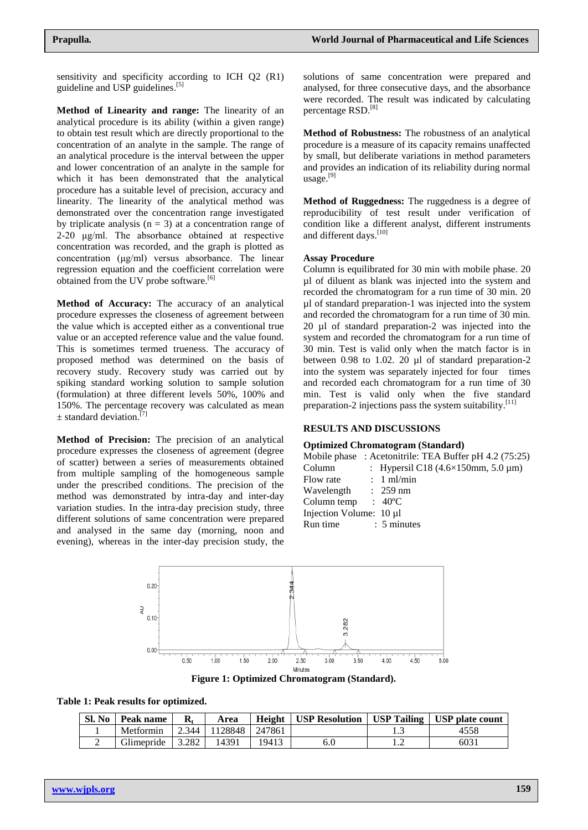sensitivity and specificity according to ICH Q2 (R1) guideline and USP guidelines.<sup>[5]</sup>

**Method of Linearity and range:** The linearity of an analytical procedure is its ability (within a given range) to obtain test result which are directly proportional to the concentration of an analyte in the sample. The range of an analytical procedure is the interval between the upper and lower concentration of an analyte in the sample for which it has been demonstrated that the analytical procedure has a suitable level of precision, accuracy and linearity. The linearity of the analytical method was demonstrated over the concentration range investigated by triplicate analysis  $(n = 3)$  at a concentration range of 2-20 μg/ml. The absorbance obtained at respective concentration was recorded, and the graph is plotted as concentration (μg/ml) versus absorbance. The linear regression equation and the coefficient correlation were obtained from the UV probe software.<sup>[6]</sup>

**Method of Accuracy:** The accuracy of an analytical procedure expresses the closeness of agreement between the value which is accepted either as a conventional true value or an accepted reference value and the value found. This is sometimes termed trueness. The accuracy of proposed method was determined on the basis of recovery study. Recovery study was carried out by spiking standard working solution to sample solution (formulation) at three different levels 50%, 100% and 150%. The percentage recovery was calculated as mean  $\pm$  standard deviation.<sup>[7]</sup>

**Method of Precision:** The precision of an analytical procedure expresses the closeness of agreement (degree of scatter) between a series of measurements obtained from multiple sampling of the homogeneous sample under the prescribed conditions. The precision of the method was demonstrated by intra-day and inter-day variation studies. In the intra-day precision study, three different solutions of same concentration were prepared and analysed in the same day (morning, noon and evening), whereas in the inter-day precision study, the solutions of same concentration were prepared and analysed, for three consecutive days, and the absorbance were recorded. The result was indicated by calculating percentage RSD.<sup>[8]</sup>

**Method of Robustness:** The robustness of an analytical procedure is a measure of its capacity remains unaffected by small, but deliberate variations in method parameters and provides an indication of its reliability during normal usage. [9]

**Method of Ruggedness:** The ruggedness is a degree of reproducibility of test result under verification of condition like a different analyst, different instruments and different days.<sup>[10]</sup>

#### **Assay Procedure**

Column is equilibrated for 30 min with mobile phase. 20 µl of diluent as blank was injected into the system and recorded the chromatogram for a run time of 30 min. 20 µl of standard preparation-1 was injected into the system and recorded the chromatogram for a run time of 30 min. 20 µl of standard preparation-2 was injected into the system and recorded the chromatogram for a run time of 30 min. Test is valid only when the match factor is in between 0.98 to 1.02. 20 µl of standard preparation-2 into the system was separately injected for four times and recorded each chromatogram for a run time of 30 min. Test is valid only when the five standard preparation-2 injections pass the system suitability.<sup>[11]</sup>

#### **RESULTS AND DISCUSSIONS**

#### **Optimized Chromatogram (Standard)**

|  | Mobile phase : Acetonitrile: TEA Buffer pH 4.2 (75:25) |  |  |  |  |
|--|--------------------------------------------------------|--|--|--|--|
|--|--------------------------------------------------------|--|--|--|--|

| Column                       | : Hypersil C18 $(4.6 \times 150$ mm, 5.0 µm) |
|------------------------------|----------------------------------------------|
| Flow rate                    | $: 1 \text{ ml/min}$                         |
| Wavelength                   | $: 259 \text{ nm}$                           |
| Column temp : $40^{\circ}$ C |                                              |
| Injection Volume: 10 µl      |                                              |
| Run time                     | $: 5$ minutes                                |
|                              |                                              |



**Figure 1: Optimized Chromatogram (Standard).**

| Sl. No | Peak name  | $\mathbf{R}_{t}$ | Area    | <b>Height</b> | <b>USP Resolution</b> |   | USP Tailing   USP plate count |
|--------|------------|------------------|---------|---------------|-----------------------|---|-------------------------------|
|        | Metformin  | 2.344            | 1128848 | 247861        |                       |   | 4558                          |
|        | Glimepride | 3.282            | 14391   | 19413         | 6.0                   | . | 6031                          |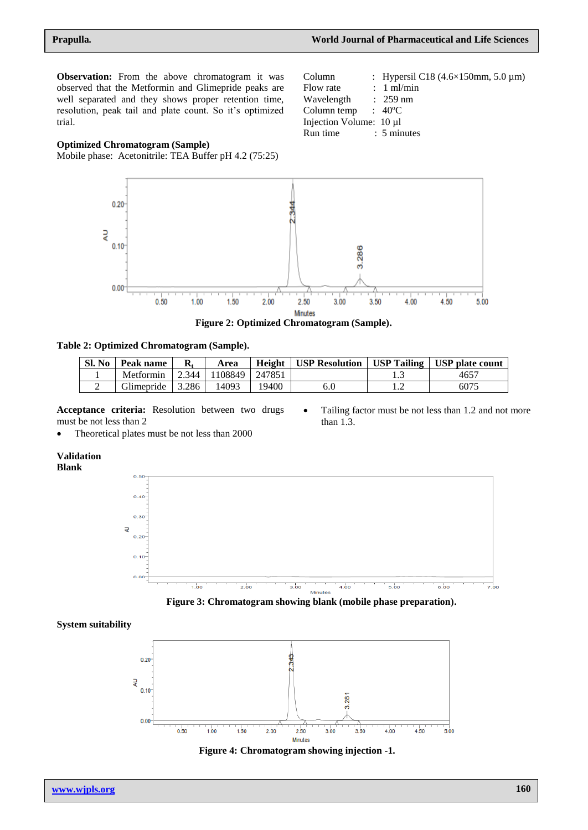Column : Hypersil C18  $(4.6 \times 150$ mm, 5.0 µm)

Flow rate : 1 ml/min Wavelength : 259 nm Column temp : 40ºC Injection Volume: 10 µl Run time : 5 minutes

**Observation:** From the above chromatogram it was observed that the Metformin and Glimepride peaks are well separated and they shows proper retention time, resolution, peak tail and plate count. So it's optimized trial.

## **Optimized Chromatogram (Sample)**

Mobile phase: Acetonitrile: TEA Buffer pH 4.2 (75:25)



#### **Table 2: Optimized Chromatogram (Sample).**

| Sl. No | Peak name  |       | Area    | Height | <b>USP Resolution</b> |   | USP Tailing   USP plate count |
|--------|------------|-------|---------|--------|-----------------------|---|-------------------------------|
|        | Metformin  | 2.344 | 1108849 | 247851 |                       |   | $465^{\circ}$                 |
| ∸      | Glimepride | 3.286 | 14093   | 19400  | 6.0                   | . | 6075                          |

**Acceptance criteria:** Resolution between two drugs must be not less than 2

- Tailing factor must be not less than 1.2 and not more than 1.3.
- Theoretical plates must be not less than 2000

#### **Validation Blank**

 $0.50$  $0.40$  $0.30$ ₹  $0.20$  $0.10$  $0.00$  $2.00$  $5.00$  $6.00$  $\frac{1}{4}$  be  $3.00$  $4.\overline{00}$ Minutes



#### **System suitability**



**Figure 4: Chromatogram showing injection -1.**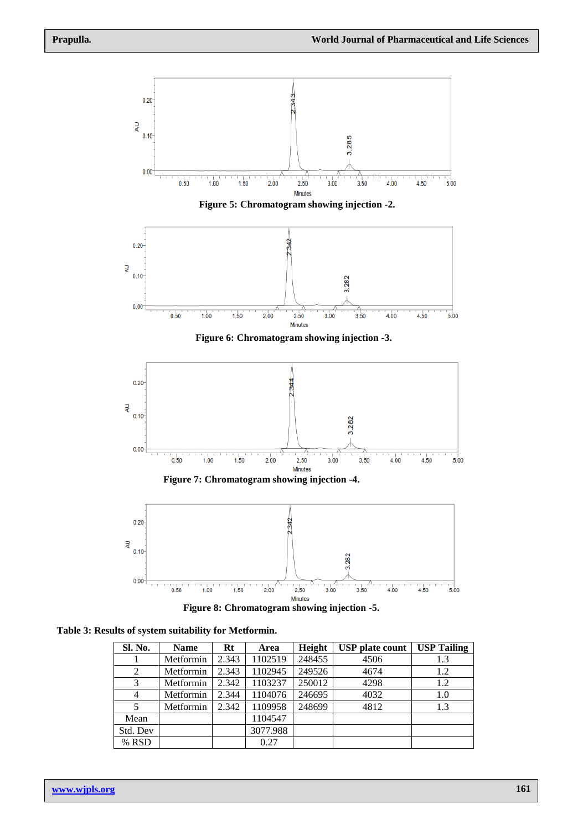

**Table 3: Results of system suitability for Metformin.**

| Sl. No.  | <b>Name</b> | $Rt$  | Area     | Height | <b>USP</b> plate count | <b>USP Tailing</b> |
|----------|-------------|-------|----------|--------|------------------------|--------------------|
|          | Metformin   | 2.343 | 1102519  | 248455 | 4506                   | 1.3                |
| 2        | Metformin   | 2.343 | 1102945  | 249526 | 4674                   | 1.2                |
| 3        | Metformin   | 2.342 | 1103237  | 250012 | 4298                   | 1.2                |
| 4        | Metformin   | 2.344 | 1104076  | 246695 | 4032                   | 1.0                |
| 5        | Metformin   | 2.342 | 1109958  | 248699 | 4812                   | 1.3                |
| Mean     |             |       | 1104547  |        |                        |                    |
| Std. Dev |             |       | 3077.988 |        |                        |                    |
| % RSD    |             |       | 0.27     |        |                        |                    |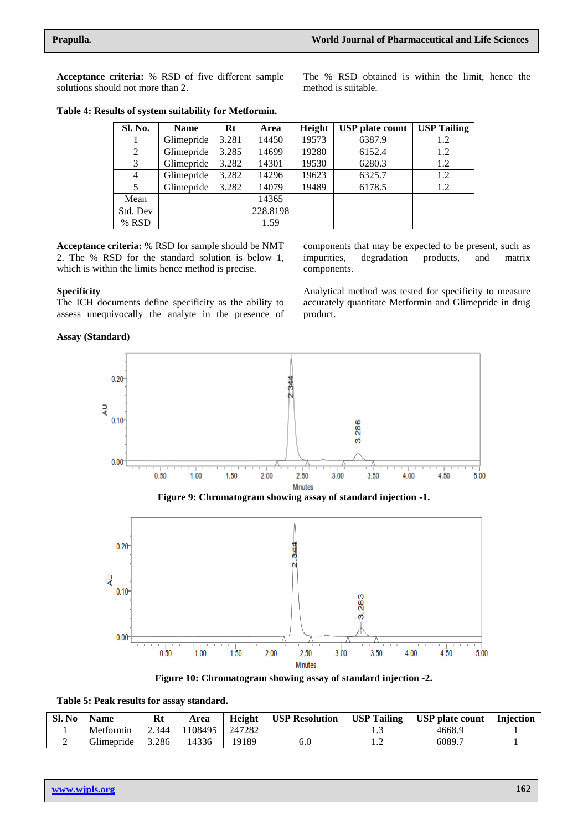**Acceptance criteria:** % RSD of five different sample solutions should not more than 2.

The % RSD obtained is within the limit, hence the method is suitable.

| Sl. No.        | <b>Name</b> | Rt    | Area     | Height | <b>USP</b> plate count | <b>USP Tailing</b> |
|----------------|-------------|-------|----------|--------|------------------------|--------------------|
|                | Glimepride  | 3.281 | 14450    | 19573  | 6387.9                 | 1.2                |
| 2              | Glimepride  | 3.285 | 14699    | 19280  | 6152.4                 | 1.2                |
| 3              | Glimepride  | 3.282 | 14301    | 19530  | 6280.3                 | 1.2                |
| $\overline{4}$ | Glimepride  | 3.282 | 14296    | 19623  | 6325.7                 | 1.2                |
| 5              | Glimepride  | 3.282 | 14079    | 19489  | 6178.5                 | 1.2                |
| Mean           |             |       | 14365    |        |                        |                    |
| Std. Dev       |             |       | 228.8198 |        |                        |                    |
| % RSD          |             |       | 1.59     |        |                        |                    |

#### **Table 4: Results of system suitability for Metformin.**

**Acceptance criteria:** % RSD for sample should be NMT 2. The % RSD for the standard solution is below 1, which is within the limits hence method is precise.

#### **Specificity**

The ICH documents define specificity as the ability to assess unequivocally the analyte in the presence of

#### **Assay (Standard)**

components that may be expected to be present, such as impurities, degradation products, and matrix components.

Analytical method was tested for specificity to measure accurately quantitate Metformin and Glimepride in drug product.







|  | Table 5: Peak results for assay standard. |  |  |
|--|-------------------------------------------|--|--|
|--|-------------------------------------------|--|--|

| Sl. No | Name       | D+<br>nι | Area   | <b>Height</b> | <b>USP Resolution</b> | <b>USP Tailing</b> | <b>USP</b> plate count | <b>Injection</b> |
|--------|------------|----------|--------|---------------|-----------------------|--------------------|------------------------|------------------|
|        | Metformin  | 2.344    | 108495 | 247282        |                       | ر                  | 4668.9                 |                  |
|        | Glimepride | 5.286    | 4336   | 19189         | J.U                   | .                  | 6089.7                 |                  |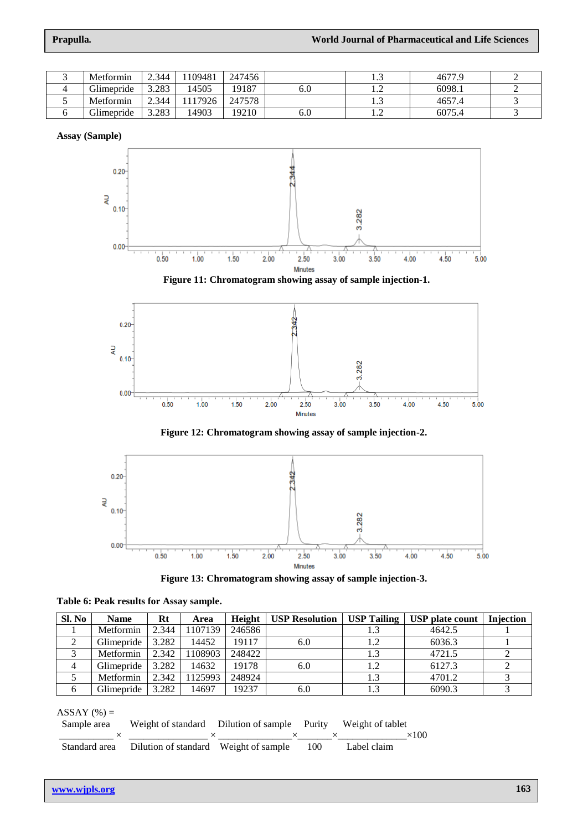| ັ | Metformin                    | 2.344 | 109481 | 247456 |     | ر | 4677.9 |  |
|---|------------------------------|-------|--------|--------|-----|---|--------|--|
|   | Glimepride                   | 3.283 | 4505   | 19187  | 0.U |   | 6098.1 |  |
| ◡ | Metformin                    | 2.344 | 17926  | 247578 |     | ر | 4657.4 |  |
|   | $\sim$ $\cdot$<br>Glimepride | 3.283 | 4903   | 19210  | 6.U |   | 6075.4 |  |

**Assay (Sample)**







**Figure 12: Chromatogram showing assay of sample injection-2.**





| Sl. No | <b>Name</b> | Rt    | Area    | Height | <b>USP Resolution</b> | <b>USP Tailing</b> | <b>USP</b> plate count | Injection |
|--------|-------------|-------|---------|--------|-----------------------|--------------------|------------------------|-----------|
|        | Metformin   | 2.344 | 1107139 | 246586 |                       | 1.3                | 4642.5                 |           |
|        | Glimepride  | 3.282 | 14452   | 19117  | 6.0                   | 1.2                | 6036.3                 |           |
|        | Metformin   | 2.342 | 1108903 | 248422 |                       | 1.3                | 4721.5                 |           |
| 4      | Glimepride  | 3.282 | 14632   | 19178  | 6.0                   | 1.2                | 6127.3                 |           |
|        | Metformin   | 2.342 | 1125993 | 248924 |                       | 1.3                | 4701.2                 |           |
| 6      | Glimepride  | 3.282 | 14697   | 19237  | 6.0                   | 1.3                | 6090.3                 |           |

**Table 6: Peak results for Assay sample.**

| $ASSAY$ (%) = |  |
|---------------|--|
|---------------|--|

| Sample area |                                                         | Weight of standard Dilution of sample Purity Weight of tablet |              |
|-------------|---------------------------------------------------------|---------------------------------------------------------------|--------------|
|             |                                                         |                                                               | $\times$ 100 |
|             | Standard area Dilution of standard Weight of sample 100 |                                                               | Label claim  |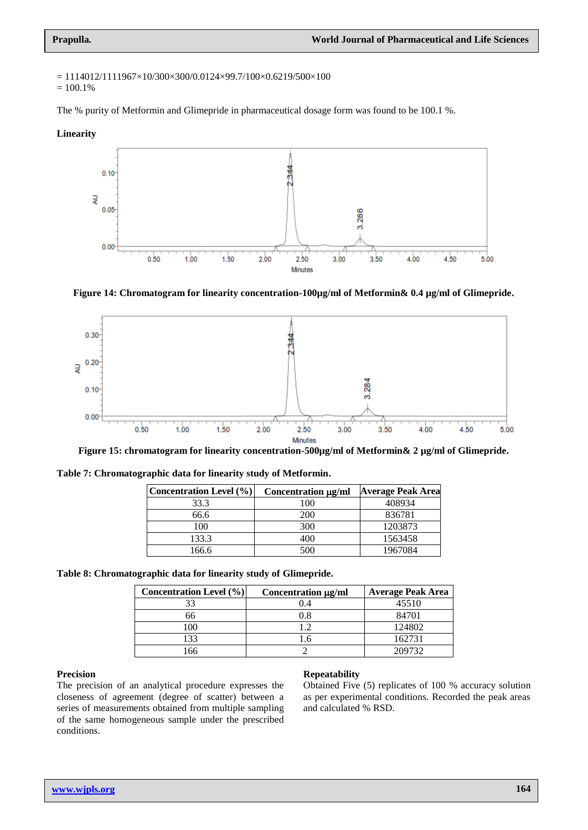$= 1114012/1111967 \times 10/300 \times 300/0.0124 \times 99.7/100 \times 0.6219/500 \times 100$ 

 $= 100.1%$ 

The % purity of Metformin and Glimepride in pharmaceutical dosage form was found to be 100.1 %.

**Linearity**



**Figure 14: Chromatogram for linearity concentration-100µg/ml of Metformin& 0.4 µg/ml of Glimepride.**



**Figure 15: chromatogram for linearity concentration-500µg/ml of Metformin& 2 µg/ml of Glimepride.**

| <b>Concentration Level</b> (%) | Concentration µg/ml | <b>Average Peak Area</b> |
|--------------------------------|---------------------|--------------------------|
| 33.3                           | 100                 | 408934                   |
| 66.6                           | 200                 | 836781                   |
| 100                            | 300                 | 1203873                  |
| 133.3                          | 400                 | 1563458                  |
| 166.6                          | 500                 | 1967084                  |

**Table 8: Chromatographic data for linearity study of Glimepride.**

| <b>Concentration Level</b> (%) | Concentration µg/ml | <b>Average Peak Area</b> |
|--------------------------------|---------------------|--------------------------|
| 33                             | 4.(                 | 45510                    |
|                                | 0.8                 | 84701                    |
| 100                            |                     | 124802                   |
| 33                             |                     | 162731                   |
| 66                             |                     | 209732                   |

#### **Precision**

The precision of an analytical procedure expresses the closeness of agreement (degree of scatter) between a series of measurements obtained from multiple sampling of the same homogeneous sample under the prescribed conditions.

#### **Repeatability**

Obtained Five (5) replicates of 100 % accuracy solution as per experimental conditions. Recorded the peak areas and calculated % RSD.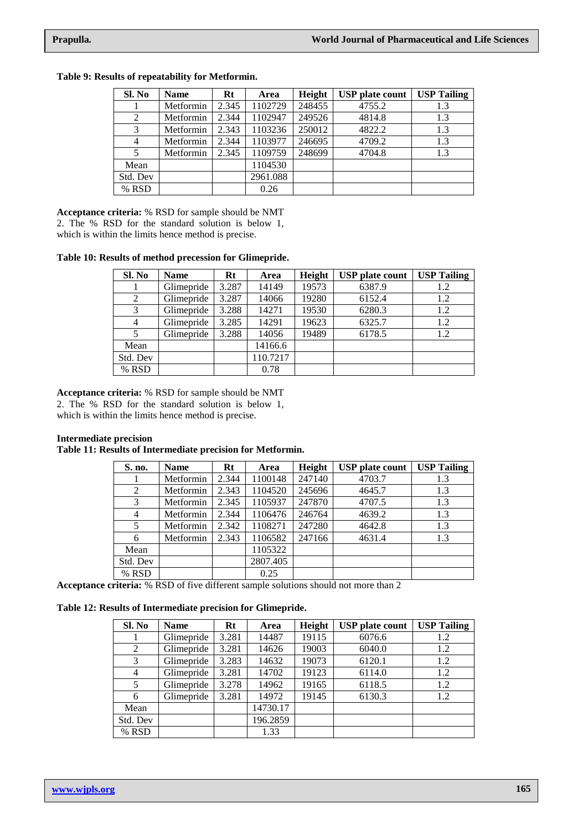| Sl. No         | <b>Name</b> | Rt    | Area     | Height | <b>USP</b> plate count | <b>USP Tailing</b> |
|----------------|-------------|-------|----------|--------|------------------------|--------------------|
|                | Metformin   | 2.345 | 1102729  | 248455 | 4755.2                 | 1.3                |
| 2              | Metformin   | 2.344 | 1102947  | 249526 | 4814.8                 | 1.3                |
| 3              | Metformin   | 2.343 | 1103236  | 250012 | 4822.2                 | 1.3                |
| $\overline{4}$ | Metformin   | 2.344 | 1103977  | 246695 | 4709.2                 | 1.3                |
| 5              | Metformin   | 2.345 | 1109759  | 248699 | 4704.8                 | 1.3                |
| Mean           |             |       | 1104530  |        |                        |                    |
| Std. Dev       |             |       | 2961.088 |        |                        |                    |
| % RSD          |             |       | 0.26     |        |                        |                    |

**Table 9: Results of repeatability for Metformin.**

**Acceptance criteria:** % RSD for sample should be NMT 2. The % RSD for the standard solution is below 1, which is within the limits hence method is precise.

**Table 10: Results of method precession for Glimepride.**

| Sl. No         | <b>Name</b> | Rt    | Area     | Height | <b>USP</b> plate count | <b>USP Tailing</b> |
|----------------|-------------|-------|----------|--------|------------------------|--------------------|
|                | Glimepride  | 3.287 | 14149    | 19573  | 6387.9                 | 1.2                |
| $\overline{2}$ | Glimepride  | 3.287 | 14066    | 19280  | 6152.4                 | 1.2                |
| 3              | Glimepride  | 3.288 | 14271    | 19530  | 6280.3                 | 1.2                |
| $\overline{4}$ | Glimepride  | 3.285 | 14291    | 19623  | 6325.7                 | 1.2                |
| 5              | Glimepride  | 3.288 | 14056    | 19489  | 6178.5                 | 1.2                |
| Mean           |             |       | 14166.6  |        |                        |                    |
| Std. Dev       |             |       | 110.7217 |        |                        |                    |
| % RSD          |             |       | 0.78     |        |                        |                    |

**Acceptance criteria:** % RSD for sample should be NMT

2. The % RSD for the standard solution is below 1, which is within the limits hence method is precise.

## **Intermediate precision**

## **Table 11: Results of Intermediate precision for Metformin.**

| S. no.   | <b>Name</b> | Rt    | Area     | Height | <b>USP</b> plate count | <b>USP Tailing</b> |
|----------|-------------|-------|----------|--------|------------------------|--------------------|
|          | Metformin   | 2.344 | 1100148  | 247140 | 4703.7                 | 1.3                |
| 2        | Metformin   | 2.343 | 1104520  | 245696 | 4645.7                 | 1.3                |
| 3        | Metformin   | 2.345 | 1105937  | 247870 | 4707.5                 | 1.3                |
| 4        | Metformin   | 2.344 | 1106476  | 246764 | 4639.2                 | 1.3                |
| 5        | Metformin   | 2.342 | 1108271  | 247280 | 4642.8                 | 1.3                |
| 6        | Metformin   | 2.343 | 1106582  | 247166 | 4631.4                 | 1.3                |
| Mean     |             |       | 1105322  |        |                        |                    |
| Std. Dev |             |       | 2807.405 |        |                        |                    |
| % RSD    |             |       | 0.25     |        |                        |                    |

**Acceptance criteria:** % RSD of five different sample solutions should not more than 2

|  |  |  |  | Table 12: Results of Intermediate precision for Glimepride. |  |  |  |
|--|--|--|--|-------------------------------------------------------------|--|--|--|
|--|--|--|--|-------------------------------------------------------------|--|--|--|

| Sl. No         | <b>Name</b> | Rt    | Height<br>Area |       | <b>USP</b> plate count | <b>USP Tailing</b> |
|----------------|-------------|-------|----------------|-------|------------------------|--------------------|
|                | Glimepride  | 3.281 | 14487          | 19115 | 6076.6                 | 1.2                |
| 2              | Glimepride  | 3.281 | 14626          | 19003 | 6040.0                 | 1.2                |
| 3              | Glimepride  | 3.283 | 14632          | 19073 | 6120.1                 | 1.2                |
| $\overline{4}$ | Glimepride  | 3.281 | 14702          | 19123 | 6114.0                 | 1.2                |
| 5              | Glimepride  | 3.278 | 14962          | 19165 | 6118.5                 | 1.2                |
| 6              | Glimepride  | 3.281 | 14972          | 19145 | 6130.3                 | 1.2                |
| Mean           |             |       | 14730.17       |       |                        |                    |
| Std. Dev       |             |       | 196.2859       |       |                        |                    |
| % RSD          |             |       | 1.33           |       |                        |                    |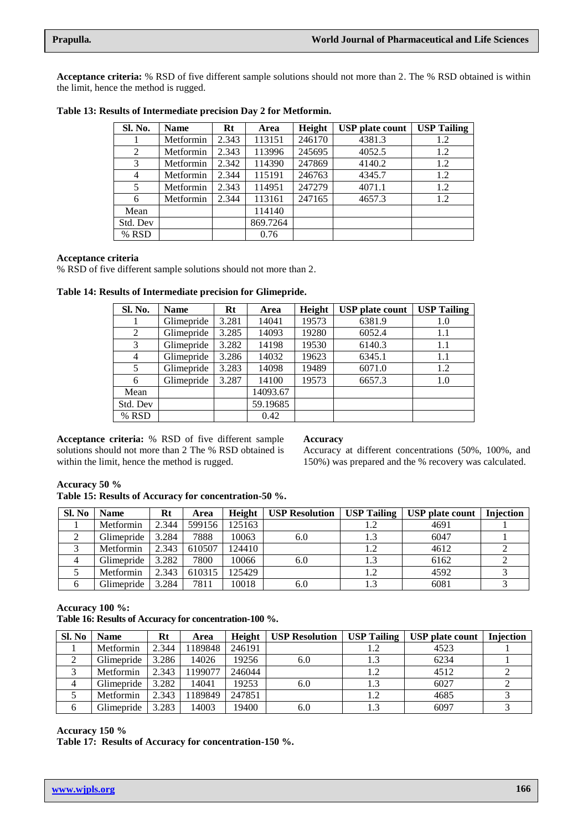**Acceptance criteria:** % RSD of five different sample solutions should not more than 2. The % RSD obtained is within the limit, hence the method is rugged.

| Sl. No.  | <b>Name</b> | Rt    | Area     | Height | <b>USP</b> plate count | <b>USP Tailing</b> |
|----------|-------------|-------|----------|--------|------------------------|--------------------|
|          | Metformin   | 2.343 | 113151   | 246170 | 4381.3                 | 1.2                |
| 2        | Metformin   | 2.343 | 113996   | 245695 | 4052.5                 | 1.2                |
| 3        | Metformin   | 2.342 | 114390   | 247869 | 4140.2                 | 1.2                |
| 4        | Metformin   | 2.344 | 115191   | 246763 | 4345.7                 | 1.2                |
| 5        | Metformin   | 2.343 | 114951   | 247279 | 4071.1                 | 1.2                |
| 6        | Metformin   | 2.344 | 113161   | 247165 | 4657.3                 | 1.2                |
| Mean     |             |       | 114140   |        |                        |                    |
| Std. Dev |             |       | 869.7264 |        |                        |                    |
| % RSD    |             |       | 0.76     |        |                        |                    |

**Table 13: Results of Intermediate precision Day 2 for Metformin.**

## **Acceptance criteria**

% RSD of five different sample solutions should not more than 2.

**Table 14: Results of Intermediate precision for Glimepride.**

| Sl. No.  | <b>Name</b> | $Rt$  | Area     | Height | <b>USP</b> plate count | <b>USP Tailing</b> |
|----------|-------------|-------|----------|--------|------------------------|--------------------|
|          | Glimepride  | 3.281 | 14041    | 19573  | 6381.9                 | 1.0                |
| 2        | Glimepride  | 3.285 | 14093    | 19280  | 6052.4                 | 1.1                |
| 3        | Glimepride  | 3.282 | 14198    | 19530  | 6140.3                 | 1.1                |
| 4        | Glimepride  | 3.286 | 14032    | 19623  | 6345.1                 | 1.1                |
| 5        | Glimepride  | 3.283 | 14098    | 19489  | 6071.0                 | 1.2                |
| 6        | Glimepride  | 3.287 | 14100    | 19573  | 6657.3                 | 1.0                |
| Mean     |             |       | 14093.67 |        |                        |                    |
| Std. Dev |             |       | 59.19685 |        |                        |                    |
| % RSD    |             |       | 0.42     |        |                        |                    |

**Acceptance criteria:** % RSD of five different sample solutions should not more than 2 The % RSD obtained is within the limit, hence the method is rugged.

#### **Accuracy**

Accuracy at different concentrations (50%, 100%, and 150%) was prepared and the % recovery was calculated.

#### **Accuracy 50 % Table 15: Results of Accuracy for concentration-50 %.**

| Sl. No | <b>Name</b> | Rt    | Area   | Height | <b>USP Resolution</b> | USP Tailing | USP plate count   Injection |  |
|--------|-------------|-------|--------|--------|-----------------------|-------------|-----------------------------|--|
|        | Metformin   | 2.344 | 599156 | 125163 |                       | 1.2         | 4691                        |  |
|        | Glimepride  | 3.284 | 7888   | 10063  | 6.0                   | 1.3         | 6047                        |  |
|        | Metformin   | 2.343 | 610507 | 124410 |                       | 1.2         | 4612                        |  |
|        | Glimepride  | 3.282 | 7800   | 10066  | 6.0                   | 1.3         | 6162                        |  |
|        | Metformin   | 2.343 | 610315 | 125429 |                       | 1.2         | 4592                        |  |
|        | Glimepride  | 3.284 | 7811   | 10018  | 6.0                   | 1.3         | 6081                        |  |

## **Accuracy 100 %:**

**Table 16: Results of Accuracy for concentration-100 %.**

| Sl. No | <b>Name</b> | $Rt$  | Area    | Height | <b>USP Resolution</b> |     | <b>USP Tailing   USP plate count</b> | <b>Injection</b> |
|--------|-------------|-------|---------|--------|-----------------------|-----|--------------------------------------|------------------|
|        | Metformin   | 2.344 | 1189848 | 246191 |                       | 1.2 | 4523                                 |                  |
|        | Glimepride  | 3.286 | 14026   | 19256  | 6.0                   | 1.3 | 6234                                 |                  |
|        | Metformin   | 2.343 | 1199077 | 246044 |                       | 1.2 | 4512                                 |                  |
|        | Glimepride  | 3.282 | 14041   | 19253  | 6.0                   | 1.3 | 6027                                 |                  |
|        | Metformin   | 2.343 | 1189849 | 247851 |                       | 1.2 | 4685                                 |                  |
|        | Glimepride  | 3.283 | 14003   | 19400  | 6.0                   | 1.3 | 6097                                 |                  |

## **Accuracy 150 %**

**Table 17: Results of Accuracy for concentration-150 %.**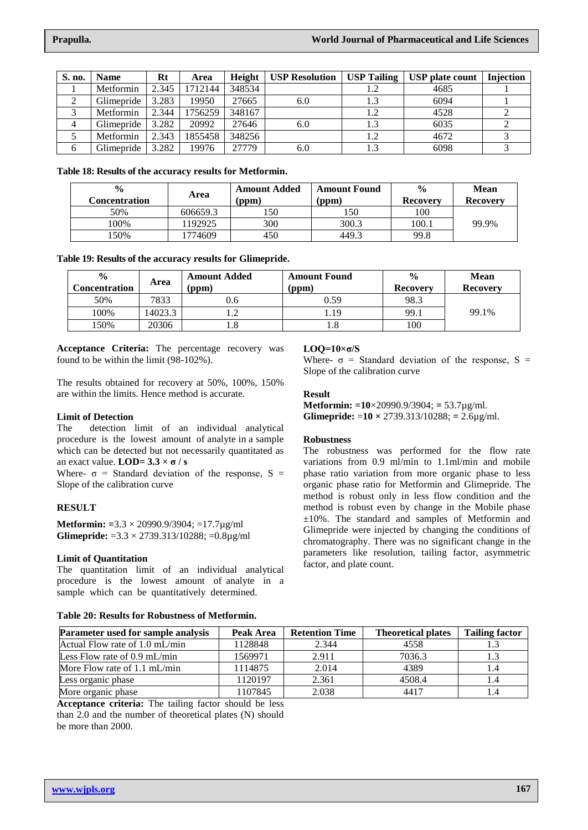| S. no.         | <b>Name</b>       | $Rt$  | Area    | Height |     |     | USP Resolution   USP Tailing   USP plate count   Injection |  |
|----------------|-------------------|-------|---------|--------|-----|-----|------------------------------------------------------------|--|
|                | Metformin         | 2.345 | 1712144 | 348534 |     |     | 4685                                                       |  |
|                | Glimepride        | 3.283 | 19950   | 27665  | 6.0 |     | 6094                                                       |  |
|                | Metformin         | 2.344 | 1756259 | 348167 |     | 1.2 | 4528                                                       |  |
| $\overline{4}$ | Glimepride        | 3.282 | 20992   | 27646  | 6.0 | 1.3 | 6035                                                       |  |
|                | Metformin         | 2.343 | 1855458 | 348256 |     | 1.2 | 4672                                                       |  |
| 6              | <b>Glimepride</b> | 3.282 | 19976   | 27779  | 6.0 | 1.3 | 6098                                                       |  |

**Table 18: Results of the accuracy results for Metformin.**

| $\frac{0}{0}$<br>Concentration | Area     |     | <b>Amount Added</b><br><b>Amount Found</b><br>(ppm)<br>'ppm) |       | <b>Mean</b><br>Recovery |
|--------------------------------|----------|-----|--------------------------------------------------------------|-------|-------------------------|
| 50%                            | 606659.3 | 50، | .50                                                          | 100   |                         |
| 100%                           | 1192925  | 300 | 300.3                                                        | 100.1 | 99.9%                   |
| 50%                            | 1774609  | 450 | 449.3                                                        | 99.8  |                         |

**Table 19: Results of the accuracy results for Glimepride.**

| $\frac{6}{9}$<br>Concentration | Area    | <b>Amount Added</b><br>(ppm) | <b>Amount Found</b><br>'ppm) | $\frac{0}{0}$<br><b>Recovery</b> | <b>Mean</b><br><b>Recovery</b> |
|--------------------------------|---------|------------------------------|------------------------------|----------------------------------|--------------------------------|
| 50%                            | 7833    | 0.6 <sub>1</sub>             | 0.59                         | 98.3                             |                                |
| 100%                           | 14023.3 |                              | . 19                         | 99.1                             | 99.1%                          |
| 50%                            | 20306   |                              | 1.8                          | 100                              |                                |

**Acceptance Criteria:** The percentage recovery was found to be within the limit (98-102%).

The results obtained for recovery at 50%, 100%, 150% are within the limits. Hence method is accurate.

## **Limit of Detection**

The detection limit of an individual analytical procedure is the lowest amount of analyte in a sample which can be detected but not necessarily quantitated as an exact value.  $LOD = 3.3 \times \sigma / s$ 

Where-  $\sigma$  = Standard deviation of the response, S = Slope of the calibration curve

## **RESULT**

**Metformin: =**3.3 × 20990.9/3904; =17.7µg/ml **Glimepride:** =3.3 × 2739.313/10288; =0.8µg/ml

## **Limit of Quantitation**

The quantitation limit of an individual analytical procedure is the lowest amount of analyte in a sample which can be quantitatively determined.

## **Table 20: Results for Robustness of Metformin.**

## **LOQ=10×σ/S**

Where-  $\sigma$  = Standard deviation of the response, S = Slope of the calibration curve

## **Result**

**Metformin: =10**×20990.9/3904; **=** 53.7µg/ml. **Glimepride:** =**10 ×** 2739.313/10288; **=** 2.6µg/ml.

## **Robustness**

The robustness was performed for the flow rate variations from 0.9 ml/min to 1.1ml/min and mobile phase ratio variation from more organic phase to less organic phase ratio for Metformin and Glimepride. The method is robust only in less flow condition and the method is robust even by change in the Mobile phase ±10%. The standard and samples of Metformin and Glimepride were injected by changing the conditions of chromatography. There was no significant change in the parameters like resolution, tailing factor, asymmetric factor, and plate count.

| <b>Parameter used for sample analysis</b> | Peak Area | <b>Retention Time</b> | <b>Theoretical plates</b> | <b>Tailing factor</b> |
|-------------------------------------------|-----------|-----------------------|---------------------------|-----------------------|
| Actual Flow rate of 1.0 mL/min            | 1128848   | 2.344                 | 4558                      |                       |
| Less Flow rate of $0.9$ mL/min            | 1569971   | 2.911                 | 7036.3                    |                       |
| More Flow rate of $1.1 \text{ mL/min}$    | 1114875   | 2.014                 | 4389                      |                       |
| Less organic phase                        | 1120197   | 2.361                 | 4508.4                    |                       |
| More organic phase                        | 1107845   | 2.038                 | 4417                      |                       |

**Acceptance criteria:** The tailing factor should be less than 2.0 and the number of theoretical plates (N) should be more than 2000.